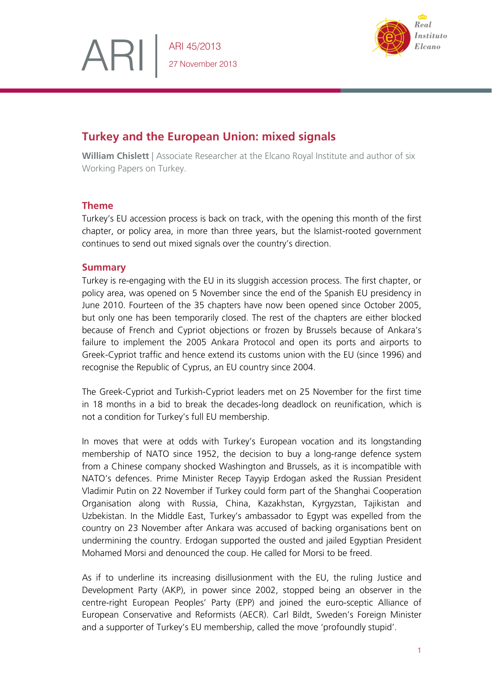

# **Turkey and the European Union: mixed signals**

**William Chislett** | Associate Researcher at the Elcano Royal Institute and author of six Working Papers on Turkey.

# **Theme**

ARI

Turkey's EU accession process is back on track, with the opening this month of the first chapter, or policy area, in more than three years, but the Islamist-rooted government continues to send out mixed signals over the country's direction.

# **Summary**

Turkey is re-engaging with the EU in its sluggish accession process. The first chapter, or policy area, was opened on 5 November since the end of the Spanish EU presidency in June 2010. Fourteen of the 35 chapters have now been opened since October 2005, but only one has been temporarily closed. The rest of the chapters are either blocked because of French and Cypriot objections or frozen by Brussels because of Ankara's failure to implement the 2005 Ankara Protocol and open its ports and airports to Greek-Cypriot traffic and hence extend its customs union with the EU (since 1996) and recognise the Republic of Cyprus, an EU country since 2004.

The Greek-Cypriot and Turkish-Cypriot leaders met on 25 November for the first time in 18 months in a bid to break the decades-long deadlock on reunification, which is not a condition for Turkey's full EU membership.

In moves that were at odds with Turkey's European vocation and its longstanding membership of NATO since 1952, the decision to buy a long-range defence system from a Chinese company shocked Washington and Brussels, as it is incompatible with NATO's defences. Prime Minister Recep Tayyip Erdogan asked the Russian President Vladimir Putin on 22 November if Turkey could form part of the Shanghai Cooperation Organisation along with Russia, China, Kazakhstan, Kyrgyzstan, Tajikistan and Uzbekistan. In the Middle East, Turkey's ambassador to Egypt was expelled from the country on 23 November after Ankara was accused of backing organisations bent on undermining the country. Erdogan supported the ousted and jailed Egyptian President Mohamed Morsi and denounced the coup. He called for Morsi to be freed.

As if to underline its increasing disillusionment with the EU, the ruling Justice and Development Party (AKP), in power since 2002, stopped being an observer in the centre-right European Peoples' Party (EPP) and joined the euro-sceptic Alliance of European Conservative and Reformists (AECR). Carl Bildt, Sweden's Foreign Minister and a supporter of Turkey's EU membership, called the move 'profoundly stupid'.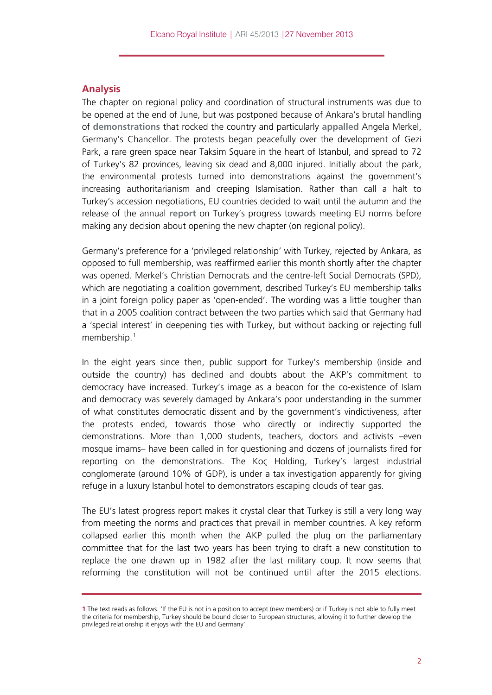# **Analysis**

The chapter on regional policy and coordination of structural instruments was due to be opened at the end of June, but was postponed because of Ankara's brutal handling of **[demonstrations](http://www.realinstitutoelcano.org/wps/portal/rielcano_eng/Content?WCM_GLOBAL_CONTEXT=/elcano/elcano_in/zonas_in/europe/commentary-chislett-indignants-turkey)** that rocked the country and particularly **[appalled](http://www.realinstitutoelcano.org/wps/portal/rielcano_eng/Content?WCM_GLOBAL_CONTEXT=/elcano/elcano_in/zonas_in/commentary-chislett-eu-german-turkey-membership-talks)** Angela Merkel, Germany's Chancellor. The protests began peacefully over the development of Gezi Park, a rare green space near Taksim Square in the heart of Istanbul, and spread to 72 of Turkey's 82 provinces, leaving six dead and 8,000 injured. Initially about the park, the environmental protests turned into demonstrations against the government's increasing authoritarianism and creeping Islamisation. Rather than call a halt to Turkey's accession negotiations, EU countries decided to wait until the autumn and the release of the annual **[report](http://www.realinstitutoelcano.org/wps/portal/rielcano_eng/Content?WCM_GLOBAL_CONTEXT=/elcano/Elcano_in/Zonas_in/Commentary-Chislett-Turkey-EU-reopen-stalled-membership-talks)** on Turkey's progress towards meeting EU norms before making any decision about opening the new chapter (on regional policy).

Germany's preference for a 'privileged relationship' with Turkey, rejected by Ankara, as opposed to full membership, was reaffirmed earlier this month shortly after the chapter was opened. Merkel's Christian Democrats and the centre-left Social Democrats (SPD), which are negotiating a coalition government, described Turkey's EU membership talks in a joint foreign policy paper as 'open-ended'. The wording was a little tougher than that in a 2005 coalition contract between the two parties which said that Germany had a 'special interest' in deepening ties with Turkey, but without backing or rejecting full membership.<sup>[1](#page-1-0)</sup>

In the eight years since then, public support for Turkey's membership (inside and outside the country) has declined and doubts about the AKP's commitment to democracy have increased. Turkey's image as a beacon for the co-existence of Islam and democracy was severely damaged by Ankara's poor understanding in the summer of what constitutes democratic dissent and by the government's vindictiveness, after the protests ended, towards those who directly or indirectly supported the demonstrations. More than 1,000 students, teachers, doctors and activists –even mosque imams– have been called in for questioning and dozens of journalists fired for reporting on the demonstrations. The Koç Holding, Turkey's largest industrial conglomerate (around 10% of GDP), is under a tax investigation apparently for giving refuge in a luxury Istanbul hotel to demonstrators escaping clouds of tear gas.

The EU's latest progress report makes it crystal clear that Turkey is still a very long way from meeting the norms and practices that prevail in member countries. A key reform collapsed earlier this month when the AKP pulled the plug on the parliamentary committee that for the last two years has been trying to draft a new constitution to replace the one drawn up in 1982 after the last military coup. It now seems that reforming the constitution will not be continued until after the 2015 elections.

<span id="page-1-0"></span>**<sup>1</sup>** The text reads as follows. 'If the EU is not in a position to accept (new members) or if Turkey is not able to fully meet the criteria for membership, Turkey should be bound closer to European structures, allowing it to further develop the privileged relationship it enjoys with the EU and Germany'.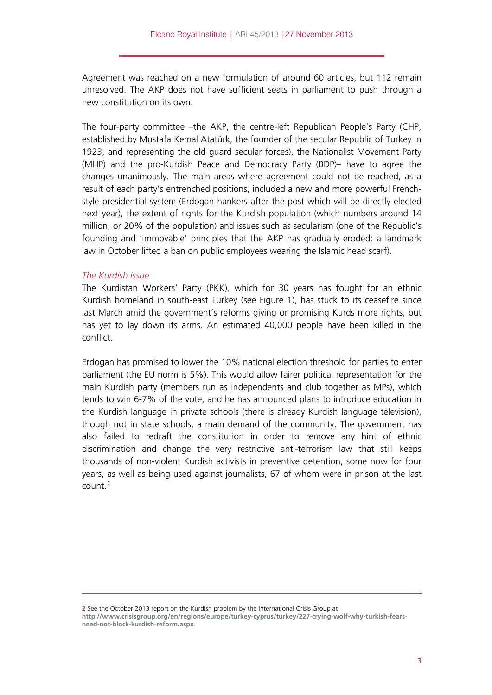Agreement was reached on a new formulation of around 60 articles, but 112 remain unresolved. The AKP does not have sufficient seats in parliament to push through a new constitution on its own.

The four-party committee –the AKP, the centre-left Republican People's Party (CHP, established by Mustafa Kemal Atatürk, the founder of the secular Republic of Turkey in 1923, and representing the old guard secular forces), the Nationalist Movement Party (MHP) and the pro-Kurdish Peace and Democracy Party (BDP)– have to agree the changes unanimously. The main areas where agreement could not be reached, as a result of each party's entrenched positions, included a new and more powerful Frenchstyle presidential system (Erdogan hankers after the post which will be directly elected next year), the extent of rights for the Kurdish population (which numbers around 14 million, or 20% of the population) and issues such as secularism (one of the Republic's founding and 'immovable' principles that the AKP has gradually eroded: a landmark law in October lifted a ban on public employees wearing the Islamic head scarf).

#### *The Kurdish issue*

The Kurdistan Workers' Party (PKK), which for 30 years has fought for an ethnic Kurdish homeland in south-east Turkey (see Figure 1), has stuck to its ceasefire since last March amid the government's reforms giving or promising Kurds more rights, but has yet to lay down its arms. An estimated 40,000 people have been killed in the conflict.

Erdogan has promised to lower the 10% national election threshold for parties to enter parliament (the EU norm is 5%). This would allow fairer political representation for the main Kurdish party (members run as independents and club together as MPs), which tends to win 6-7% of the vote, and he has announced plans to introduce education in the Kurdish language in private schools (there is already Kurdish language television), though not in state schools, a main demand of the community. The government has also failed to redraft the constitution in order to remove any hint of ethnic discrimination and change the very restrictive anti-terrorism law that still keeps thousands of non-violent Kurdish activists in preventive detention, some now for four years, as well as being used against journalists, 67 of whom were in prison at the last  $\text{count}$ <sup>[2](#page-2-0)</sup>

<span id="page-2-0"></span>**2** See the October 2013 report on the Kurdish problem by the International Crisis Group at

**[http://www.crisisgroup.org/en/regions/europe/turkey-cyprus/turkey/227-crying-wolf-why-turkish-fears](http://www.crisisgroup.org/en/regions/europe/turkey-cyprus/turkey/227-crying-wolf-why-turkish-fears-need-not-block-kurdish-reform.aspx)[need-not-block-kurdish-reform.aspx](http://www.crisisgroup.org/en/regions/europe/turkey-cyprus/turkey/227-crying-wolf-why-turkish-fears-need-not-block-kurdish-reform.aspx)**.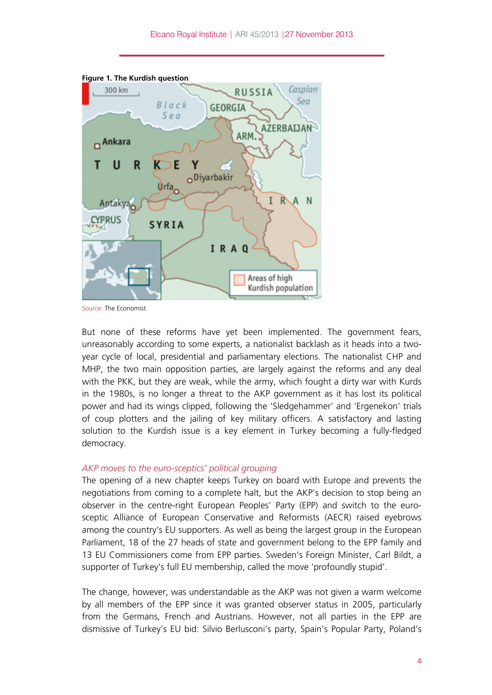

Source: The Economist.

But none of these reforms have yet been implemented. The government fears, unreasonably according to some experts, a nationalist backlash as it heads into a twoyear cycle of local, presidential and parliamentary elections. The nationalist CHP and MHP, the two main opposition parties, are largely against the reforms and any deal with the PKK, but they are weak, while the army, which fought a dirty war with Kurds in the 1980s, is no longer a threat to the AKP government as it has lost its political power and had its wings clipped, following the 'Sledgehammer' and 'Ergenekon' trials of coup plotters and the jailing of key military officers. A satisfactory and lasting solution to the Kurdish issue is a key element in Turkey becoming a fully-fledged democracy.

#### *AKP moves to the euro-sceptics' political grouping*

The opening of a new chapter keeps Turkey on board with Europe and prevents the negotiations from coming to a complete halt, but the AKP's decision to stop being an observer in the centre-right European Peoples' Party (EPP) and switch to the eurosceptic Alliance of European Conservative and Reformists (AECR) raised eyebrows among the country's EU supporters. As well as being the largest group in the European Parliament, 18 of the 27 heads of state and government belong to the EPP family and 13 EU Commissioners come from EPP parties. Sweden's Foreign Minister, Carl Bildt, a supporter of Turkey's full EU membership, called the move 'profoundly stupid'.

The change, however, was understandable as the AKP was not given a warm welcome by all members of the EPP since it was granted observer status in 2005, particularly from the Germans, French and Austrians. However, not all parties in the EPP are dismissive of Turkey's EU bid: Silvio Berlusconi's party, Spain's Popular Party, Poland's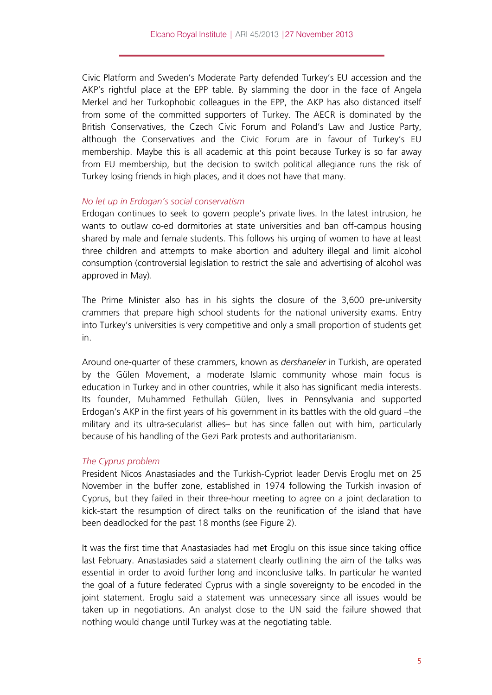Civic Platform and Sweden's Moderate Party defended Turkey's EU accession and the AKP's rightful place at the EPP table. By slamming the door in the face of Angela Merkel and her Turkophobic colleagues in the EPP, the AKP has also distanced itself from some of the committed supporters of Turkey. The AECR is dominated by the British Conservatives, the Czech Civic Forum and Poland's Law and Justice Party, although the Conservatives and the Civic Forum are in favour of Turkey's EU membership. Maybe this is all academic at this point because Turkey is so far away from EU membership, but the decision to switch political allegiance runs the risk of Turkey losing friends in high places, and it does not have that many.

# *No let up in Erdogan's social conservatism*

Erdogan continues to seek to govern people's private lives. In the latest intrusion, he wants to outlaw co-ed dormitories at state universities and ban off-campus housing shared by male and female students. This follows his urging of women to have at least three children and attempts to make abortion and adultery illegal and limit alcohol consumption (controversial legislation to restrict the sale and advertising of alcohol was approved in May).

The Prime Minister also has in his sights the closure of the 3,600 pre-university crammers that prepare high school students for the national university exams. Entry into Turkey's universities is very competitive and only a small proportion of students get in.

Around one-quarter of these crammers, known as *dershaneler* in Turkish, are operated by the Gülen Movement, a moderate Islamic community whose main focus is education in Turkey and in other countries, while it also has significant media interests. Its founder, Muhammed Fethullah Gülen, lives in Pennsylvania and supported Erdogan's AKP in the first years of his government in its battles with the old guard –the military and its ultra-secularist allies– but has since fallen out with him, particularly because of his handling of the Gezi Park protests and authoritarianism.

# *The Cyprus problem*

President Nicos Anastasiades and the Turkish-Cypriot leader Dervis Eroglu met on 25 November in the buffer zone, established in 1974 following the Turkish invasion of Cyprus, but they failed in their three-hour meeting to agree on a joint declaration to kick-start the resumption of direct talks on the reunification of the island that have been deadlocked for the past 18 months (see Figure 2).

It was the first time that Anastasiades had met Eroglu on this issue since taking office last February. Anastasiades said a statement clearly outlining the aim of the talks was essential in order to avoid further long and inconclusive talks. In particular he wanted the goal of a future federated Cyprus with a single sovereignty to be encoded in the joint statement. Eroglu said a statement was unnecessary since all issues would be taken up in negotiations. An analyst close to the UN said the failure showed that nothing would change until Turkey was at the negotiating table.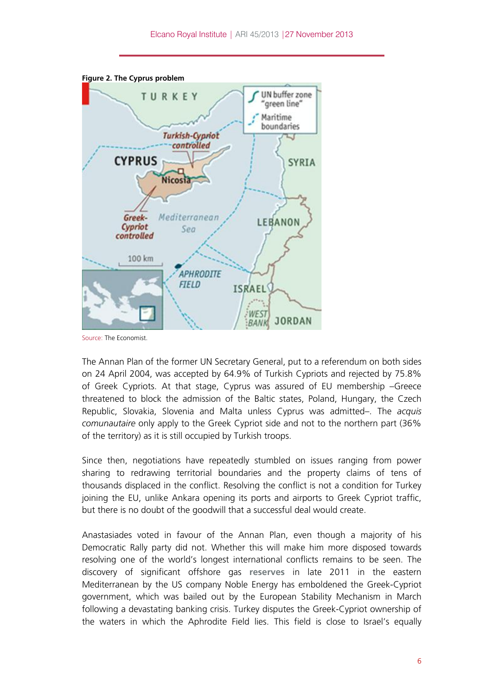



Source: The Economist.

The Annan Plan of the former UN Secretary General, put to a referendum on both sides on 24 April 2004, was accepted by 64.9% of Turkish Cypriots and rejected by 75.8% of Greek Cypriots. At that stage, Cyprus was assured of EU membership –Greece threatened to block the admission of the Baltic states, Poland, Hungary, the Czech Republic, Slovakia, Slovenia and Malta unless Cyprus was admitted–. The *acquis comunautaire* only apply to the Greek Cypriot side and not to the northern part (36% of the territory) as it is still occupied by Turkish troops.

Since then, negotiations have repeatedly stumbled on issues ranging from power sharing to redrawing territorial boundaries and the property claims of tens of thousands displaced in the conflict. Resolving the conflict is not a condition for Turkey joining the EU, unlike Ankara opening its ports and airports to Greek Cypriot traffic, but there is no doubt of the goodwill that a successful deal would create.

Anastasiades voted in favour of the Annan Plan, even though a majority of his Democratic Rally party did not. Whether this will make him more disposed towards resolving one of the world's longest international conflicts remains to be seen. The discovery of significant offshore gas **[reserves](http://www.realinstitutoelcano.org/wps/portal/rielcano_eng/Content?WCM_GLOBAL_CONTEXT=/elcano/Elcano_in/Zonas_in/Commentary-Chilslett-Cyprus-crisis)** in late 2011 in the eastern Mediterranean by the US company Noble Energy has emboldened the Greek-Cypriot government, which was bailed out by the European Stability Mechanism in March following a devastating banking crisis. Turkey disputes the Greek-Cypriot ownership of the waters in which the Aphrodite Field lies. This field is close to Israel's equally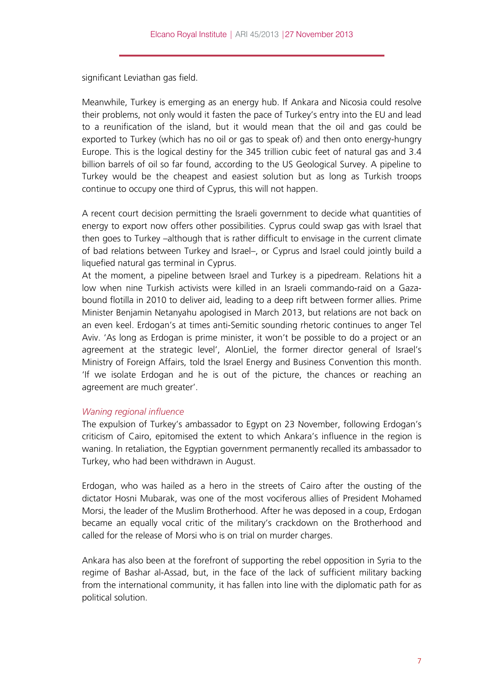significant Leviathan gas field.

Meanwhile, Turkey is emerging as an energy hub. If Ankara and Nicosia could resolve their problems, not only would it fasten the pace of Turkey's entry into the EU and lead to a reunification of the island, but it would mean that the oil and gas could be exported to Turkey (which has no oil or gas to speak of) and then onto energy-hungry Europe. This is the logical destiny for the 345 trillion cubic feet of natural gas and 3.4 billion barrels of oil so far found, according to the US Geological Survey. A pipeline to Turkey would be the cheapest and easiest solution but as long as Turkish troops continue to occupy one third of Cyprus, this will not happen.

A recent court decision permitting the Israeli government to decide what quantities of energy to export now offers other possibilities. Cyprus could swap gas with Israel that then goes to Turkey –although that is rather difficult to envisage in the current climate of bad relations between Turkey and Israel–, or Cyprus and Israel could jointly build a liquefied natural gas terminal in Cyprus.

At the moment, a pipeline between Israel and Turkey is a pipedream. Relations hit a low when nine Turkish activists were killed in an Israeli commando-raid on a Gazabound flotilla in 2010 to deliver aid, leading to a deep rift between former allies. Prime Minister Benjamin Netanyahu apologised in March 2013, but relations are not back on an even keel. Erdogan's at times anti-Semitic sounding rhetoric continues to anger Tel Aviv. 'As long as Erdogan is prime minister, it won't be possible to do a project or an agreement at the strategic level', AlonLiel, the former director general of Israel's Ministry of Foreign Affairs, told the Israel Energy and Business Convention this month. 'If we isolate Erdogan and he is out of the picture, the chances or reaching an agreement are much greater'.

#### *Waning regional influence*

The expulsion of Turkey's ambassador to Egypt on 23 November, following Erdogan's criticism of Cairo, epitomised the extent to which Ankara's influence in the region is waning. In retaliation, the Egyptian government permanently recalled its ambassador to Turkey, who had been withdrawn in August.

Erdogan, who was hailed as a hero in the streets of Cairo after the ousting of the dictator Hosni Mubarak, was one of the most vociferous allies of President Mohamed Morsi, the leader of the Muslim Brotherhood. After he was deposed in a coup, Erdogan became an equally vocal critic of the military's crackdown on the Brotherhood and called for the release of Morsi who is on trial on murder charges.

Ankara has also been at the forefront of supporting the rebel opposition in Syria to the regime of Bashar al-Assad, but, in the face of the lack of sufficient military backing from the international community, it has fallen into line with the diplomatic path for as political solution.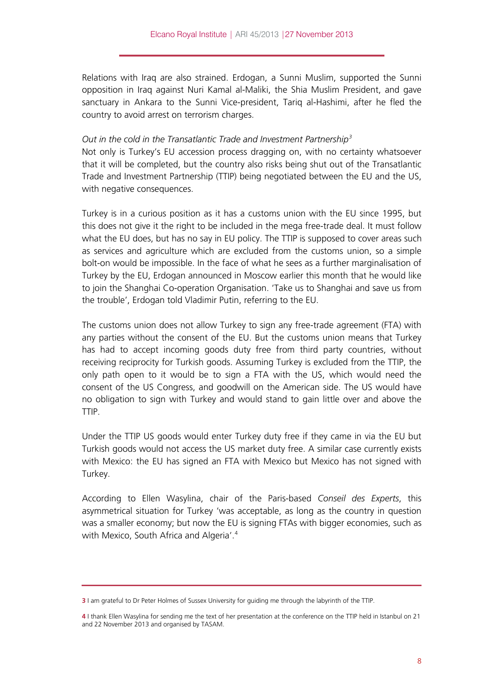Relations with Iraq are also strained. Erdogan, a Sunni Muslim, supported the Sunni opposition in Iraq against Nuri Kamal al-Maliki, the Shia Muslim President, and gave sanctuary in Ankara to the Sunni Vice-president, Tariq al-Hashimi, after he fled the country to avoid arrest on terrorism charges.

#### *Out in the cold in the Transatlantic Trade and Investment Partnership[3](#page-7-0)*

Not only is Turkey's EU accession process dragging on, with no certainty whatsoever that it will be completed, but the country also risks being shut out of the Transatlantic Trade and Investment Partnership (TTIP) being negotiated between the EU and the US, with negative consequences.

Turkey is in a curious position as it has a customs union with the EU since 1995, but this does not give it the right to be included in the mega free-trade deal. It must follow what the EU does, but has no say in EU policy. The TTIP is supposed to cover areas such as services and agriculture which are excluded from the customs union, so a simple bolt-on would be impossible. In the face of what he sees as a further marginalisation of Turkey by the EU, Erdogan announced in Moscow earlier this month that he would like to join the Shanghai Co-operation Organisation. 'Take us to Shanghai and save us from the trouble', Erdogan told Vladimir Putin, referring to the EU.

The customs union does not allow Turkey to sign any free-trade agreement (FTA) with any parties without the consent of the EU. But the customs union means that Turkey has had to accept incoming goods duty free from third party countries, without receiving reciprocity for Turkish goods. Assuming Turkey is excluded from the TTIP, the only path open to it would be to sign a FTA with the US, which would need the consent of the US Congress, and goodwill on the American side. The US would have no obligation to sign with Turkey and would stand to gain little over and above the TTIP.

Under the TTIP US goods would enter Turkey duty free if they came in via the EU but Turkish goods would not access the US market duty free. A similar case currently exists with Mexico: the EU has signed an FTA with Mexico but Mexico has not signed with Turkey.

According to Ellen Wasylina, chair of the Paris-based *Conseil des Experts*, this asymmetrical situation for Turkey 'was acceptable, as long as the country in question was a smaller economy; but now the EU is signing FTAs with bigger economies, such as with Mexico, South Africa and Algeria'.<sup>[4](#page-7-1)</sup>

<span id="page-7-0"></span>**<sup>3</sup>** I am grateful to Dr Peter Holmes of Sussex University for guiding me through the labyrinth of the TTIP.

<span id="page-7-1"></span>**<sup>4</sup>** I thank Ellen Wasylina for sending me the text of her presentation at the conference on the TTIP held in Istanbul on 21 and 22 November 2013 and organised by TASAM.